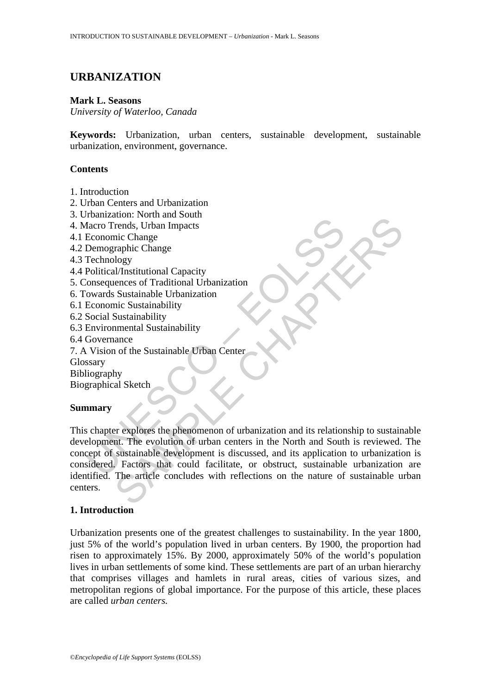# **URBANIZATION**

#### **Mark L. Seasons**

*University of Waterloo, Canada* 

**Keywords:** Urbanization, urban centers, sustainable development, sustainable urbanization, environment, governance.

#### **Contents**

- 1. Introduction
- 2. Urban Centers and Urbanization
- 3. Urbanization: North and South
- 4. Macro Trends, Urban Impacts
- 4.1 Economic Change
- 4.2 Demographic Change
- 4.3 Technology
- 4.4 Political/Institutional Capacity
- 5. Consequences of Traditional Urbanization
- 6. Towards Sustainable Urbanization
- 6.1 Economic Sustainability
- 6.2 Social Sustainability
- 6.3 Environmental Sustainability
- 6.4 Governance
- 7. A Vision of the Sustainable Urban Center
- **Glossary**

Bibliography

Biographical Sketch

#### **Summary**

Commandion. From a boath<br>
facto Trends, Urban Impacts<br>
Economic Change<br>
Demographic Change<br>
Technology<br>
Teolitical/Institutional Capacity<br>
onsequences of Traditional Urbanization<br>
converses Sustainability<br>
Social Sustainab From and Solar<br>
The Change<br>
Trends, Urban Impacts<br>
inc Change<br>
Income Change<br>
Income Change<br>
Il/Institutional Capacity<br>
Il/Institutional Capacity<br>
Sustainable Urbanization<br>
Sustainable Urban<br>
Sustainable Urban<br>
Sustainable This chapter explores the phenomenon of urbanization and its relationship to sustainable development. The evolution of urban centers in the North and South is reviewed. The concept of sustainable development is discussed, and its application to urbanization is considered. Factors that could facilitate, or obstruct, sustainable urbanization are identified. The article concludes with reflections on the nature of sustainable urban centers.

# **1. Introduction**

Urbanization presents one of the greatest challenges to sustainability. In the year 1800, just 5% of the world's population lived in urban centers. By 1900, the proportion had risen to approximately 15%. By 2000, approximately 50% of the world's population lives in urban settlements of some kind. These settlements are part of an urban hierarchy that comprises villages and hamlets in rural areas, cities of various sizes, and metropolitan regions of global importance. For the purpose of this article, these places are called *urban centers.*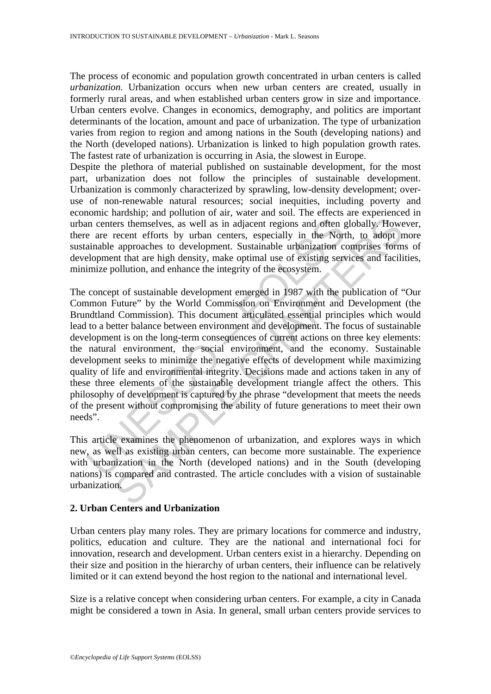The process of economic and population growth concentrated in urban centers is called *urbanization.* Urbanization occurs when new urban centers are created, usually in formerly rural areas, and when established urban centers grow in size and importance. Urban centers evolve. Changes in economics, demography, and politics are important determinants of the location, amount and pace of urbanization. The type of urbanization varies from region to region and among nations in the South (developing nations) and the North (developed nations). Urbanization is linked to high population growth rates. The fastest rate of urbanization is occurring in Asia, the slowest in Europe.

Despite the plethora of material published on sustainable development, for the most part, urbanization does not follow the principles of sustainable development. Urbanization is commonly characterized by sprawling, low-density development; overuse of non-renewable natural resources; social inequities, including poverty and economic hardship; and pollution of air, water and soil. The effects are experienced in urban centers themselves, as well as in adjacent regions and often globally. However, there are recent efforts by urban centers, especially in the North, to adopt more sustainable approaches to development. Sustainable urbanization comprises forms of development that are high density, make optimal use of existing services and facilities, minimize pollution, and enhance the integrity of the ecosystem.

In centers themselves, as well as in adjacent regions and often a<br>
e are recent efforts by urban centers, especially in the Nort<br>
ainable approaches to development. Sustainable urbanization co<br>
elopment that are high densi Fractional simulation, and controllation of the Such and the Such and the Such and the Such and the North, to adopt a approaches to development. Sustainable urbanization comprises form and that are high density, make optim The concept of sustainable development emerged in 1987 with the publication of "Our Common Future" by the World Commission on Environment and Development (the Brundtland Commission). This document articulated essential principles which would lead to a better balance between environment and development. The focus of sustainable development is on the long-term consequences of current actions on three key elements: the natural environment, the social environment, and the economy. Sustainable development seeks to minimize the negative effects of development while maximizing quality of life and environmental integrity. Decisions made and actions taken in any of these three elements of the sustainable development triangle affect the others. This philosophy of development is captured by the phrase "development that meets the needs of the present without compromising the ability of future generations to meet their own needs".

This article examines the phenomenon of urbanization, and explores ways in which new, as well as existing urban centers, can become more sustainable. The experience with urbanization in the North (developed nations) and in the South (developing nations) is compared and contrasted. The article concludes with a vision of sustainable urbanization.

# **2. Urban Centers and Urbanization**

Urban centers play many roles. They are primary locations for commerce and industry, politics, education and culture. They are the national and international foci for innovation, research and development. Urban centers exist in a hierarchy. Depending on their size and position in the hierarchy of urban centers, their influence can be relatively limited or it can extend beyond the host region to the national and international level.

Size is a relative concept when considering urban centers. For example, a city in Canada might be considered a town in Asia. In general, small urban centers provide services to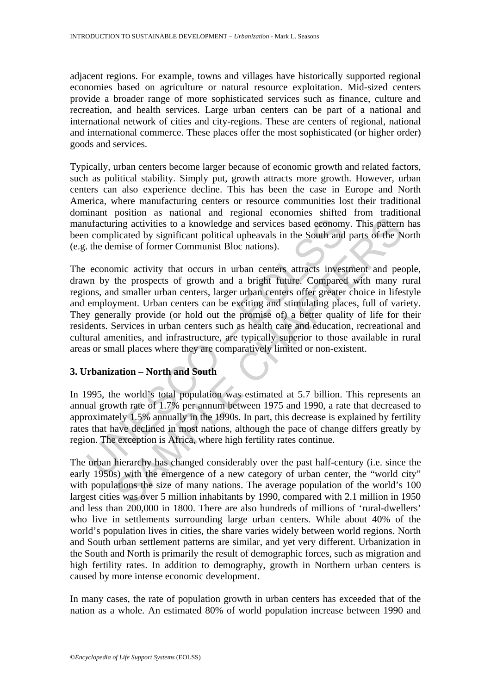adjacent regions. For example, towns and villages have historically supported regional economies based on agriculture or natural resource exploitation. Mid-sized centers provide a broader range of more sophisticated services such as finance, culture and recreation, and health services. Large urban centers can be part of a national and international network of cities and city-regions. These are centers of regional, national and international commerce. These places offer the most sophisticated (or higher order) goods and services.

Typically, urban centers become larger because of economic growth and related factors, such as political stability. Simply put, growth attracts more growth. However, urban centers can also experience decline. This has been the case in Europe and North America, where manufacturing centers or resource communities lost their traditional dominant position as national and regional economies shifted from traditional manufacturing activities to a knowledge and services based economy. This pattern has been complicated by significant political upheavals in the South and parts of the North (e.g. the demise of former Communist Bloc nations).

urfacturing activities to a knowledge and services based econom;<br>a complicated by significant political upheavals in the South and<br>the demise of former Communist Bloc nations).<br>economic activity that occurs in urban center Fing activities to a knowledge and services based economy. This pattern<br>licated by significant political upheavals in the South and parts of the N<br>mise of former Communist Bloc nations).<br>mic activity that occurs in urban The economic activity that occurs in urban centers attracts investment and people, drawn by the prospects of growth and a bright future. Compared with many rural regions, and smaller urban centers, larger urban centers offer greater choice in lifestyle and employment. Urban centers can be exciting and stimulating places, full of variety. They generally provide (or hold out the promise of) a better quality of life for their residents. Services in urban centers such as health care and education, recreational and cultural amenities, and infrastructure, are typically superior to those available in rural areas or small places where they are comparatively limited or non-existent.

# **3. Urbanization – North and South**

In 1995, the world's total population was estimated at 5.7 billion. This represents an annual growth rate of 1.7% per annum between 1975 and 1990, a rate that decreased to approximately 1.5% annually in the 1990s. In part, this decrease is explained by fertility rates that have declined in most nations, although the pace of change differs greatly by region. The exception is Africa, where high fertility rates continue.

The urban hierarchy has changed considerably over the past half-century (i.e. since the early 1950s) with the emergence of a new category of urban center, the "world city" with populations the size of many nations. The average population of the world's 100 largest cities was over 5 million inhabitants by 1990, compared with 2.1 million in 1950 and less than 200,000 in 1800. There are also hundreds of millions of 'rural-dwellers' who live in settlements surrounding large urban centers. While about 40% of the world's population lives in cities, the share varies widely between world regions. North and South urban settlement patterns are similar, and yet very different. Urbanization in the South and North is primarily the result of demographic forces, such as migration and high fertility rates. In addition to demography, growth in Northern urban centers is caused by more intense economic development.

In many cases, the rate of population growth in urban centers has exceeded that of the nation as a whole. An estimated 80% of world population increase between 1990 and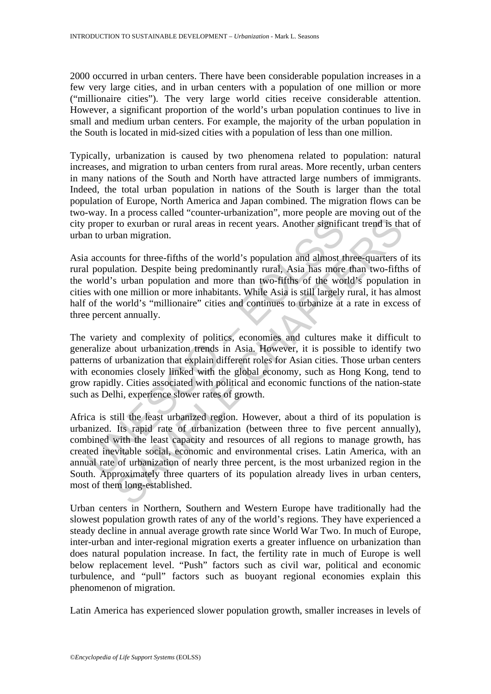2000 occurred in urban centers. There have been considerable population increases in a few very large cities, and in urban centers with a population of one million or more ("millionaire cities"). The very large world cities receive considerable attention. However, a significant proportion of the world's urban population continues to live in small and medium urban centers. For example, the majority of the urban population in the South is located in mid-sized cities with a population of less than one million.

Typically, urbanization is caused by two phenomena related to population: natural increases, and migration to urban centers from rural areas. More recently, urban centers in many nations of the South and North have attracted large numbers of immigrants. Indeed, the total urban population in nations of the South is larger than the total population of Europe, North America and Japan combined. The migration flows can be two-way. In a process called "counter-urbanization", more people are moving out of the city proper to exurban or rural areas in recent years. Another significant trend is that of urban to urban migration.

Asia accounts for three-fifths of the world's population and almost three-quarters of its rural population. Despite being predominantly rural, Asia has more than two-fifths of the world's urban population and more than two-fifths of the world's population in cities with one million or more inhabitants. While Asia is still largely rural, it has almost half of the world's "millionaire" cities and continues to urbanize at a rate in excess of three percent annually.

proper to exurban or rural areas in recent years. Another signific<br>in to urban migration.<br>
a accounts for three-fifths of the world's population and almost tl<br>
population. Despite being predominantly rural, Asia has more<br> The variety and complexity of politics, economies and cultures make it difficult to generalize about urbanization trends in Asia. However, it is possible to identify two patterns of urbanization that explain different roles for Asian cities. Those urban centers with economies closely linked with the global economy, such as Hong Kong, tend to grow rapidly. Cities associated with political and economic functions of the nation-state such as Delhi, experience slower rates of growth.

to exurban or rural areas in recent years. Another significant trend is the to exurban or rural areas in recent years. Another significant trend is the ban migration.<br>
Ints for three-fifths of the world's population and al Africa is still the least urbanized region. However, about a third of its population is urbanized. Its rapid rate of urbanization (between three to five percent annually), combined with the least capacity and resources of all regions to manage growth, has created inevitable social, economic and environmental crises. Latin America, with an annual rate of urbanization of nearly three percent, is the most urbanized region in the South. Approximately three quarters of its population already lives in urban centers, most of them long-established.

Urban centers in Northern, Southern and Western Europe have traditionally had the slowest population growth rates of any of the world's regions. They have experienced a steady decline in annual average growth rate since World War Two. In much of Europe, inter-urban and inter-regional migration exerts a greater influence on urbanization than does natural population increase. In fact, the fertility rate in much of Europe is well below replacement level. "Push" factors such as civil war, political and economic turbulence, and "pull" factors such as buoyant regional economies explain this phenomenon of migration.

Latin America has experienced slower population growth, smaller increases in levels of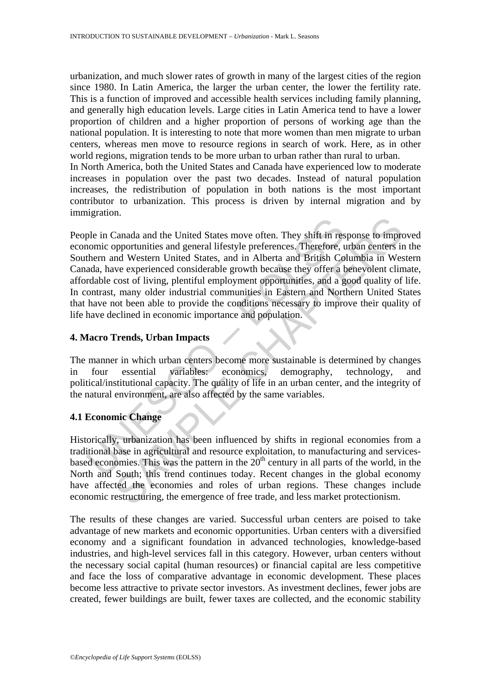urbanization, and much slower rates of growth in many of the largest cities of the region since 1980. In Latin America, the larger the urban center, the lower the fertility rate. This is a function of improved and accessible health services including family planning, and generally high education levels. Large cities in Latin America tend to have a lower proportion of children and a higher proportion of persons of working age than the national population. It is interesting to note that more women than men migrate to urban centers, whereas men move to resource regions in search of work. Here, as in other world regions, migration tends to be more urban to urban rather than rural to urban. In North America, both the United States and Canada have experienced low to moderate

increases in population over the past two decades. Instead of natural population increases, the redistribution of population in both nations is the most important contributor to urbanization. This process is driven by internal migration and by immigration.

be in Canada and the United States move often. They shift in responsive poportunities and general lifestyle preferences. Therefore, them and Western United States, and in Alberta and British Co ada, have experienced consid Canada and the United States move often. They shift in response to impropportunities and general lifestyle preferences. Therefore, urban centers in the Western United States, and in Alberta and British Columbia in Western People in Canada and the United States move often. They shift in response to improved economic opportunities and general lifestyle preferences. Therefore, urban centers in the Southern and Western United States, and in Alberta and British Columbia in Western Canada, have experienced considerable growth because they offer a benevolent climate, affordable cost of living, plentiful employment opportunities, and a good quality of life. In contrast, many older industrial communities in Eastern and Northern United States that have not been able to provide the conditions necessary to improve their quality of life have declined in economic importance and population.

#### **4. Macro Trends, Urban Impacts**

The manner in which urban centers become more sustainable is determined by changes in four essential variables: economics, demography, technology, and political/institutional capacity. The quality of life in an urban center, and the integrity of the natural environment, are also affected by the same variables.

# **4.1 Economic Change**

Historically, urbanization has been influenced by shifts in regional economies from a traditional base in agricultural and resource exploitation, to manufacturing and servicesbased economies. This was the pattern in the  $20<sup>th</sup>$  century in all parts of the world, in the North and South; this trend continues today. Recent changes in the global economy have affected the economies and roles of urban regions. These changes include economic restructuring, the emergence of free trade, and less market protectionism.

The results of these changes are varied. Successful urban centers are poised to take advantage of new markets and economic opportunities. Urban centers with a diversified economy and a significant foundation in advanced technologies, knowledge-based industries, and high-level services fall in this category. However, urban centers without the necessary social capital (human resources) or financial capital are less competitive and face the loss of comparative advantage in economic development. These places become less attractive to private sector investors. As investment declines, fewer jobs are created, fewer buildings are built, fewer taxes are collected, and the economic stability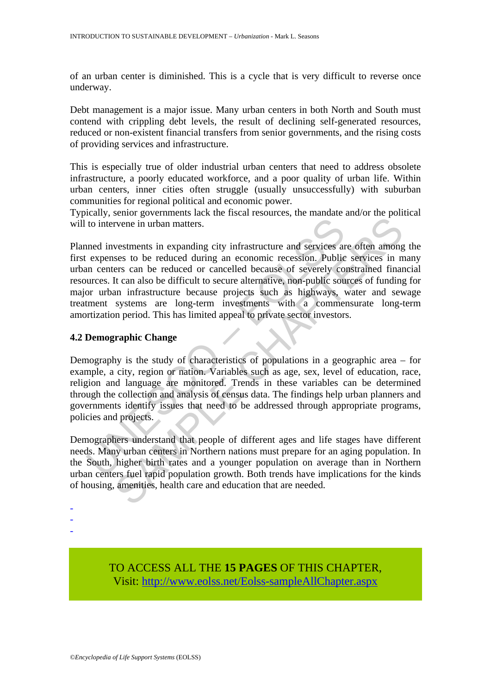of an urban center is diminished. This is a cycle that is very difficult to reverse once underway.

Debt management is a major issue. Many urban centers in both North and South must contend with crippling debt levels, the result of declining self-generated resources, reduced or non-existent financial transfers from senior governments, and the rising costs of providing services and infrastructure.

This is especially true of older industrial urban centers that need to address obsolete infrastructure, a poorly educated workforce, and a poor quality of urban life. Within urban centers, inner cities often struggle (usually unsuccessfully) with suburban communities for regional political and economic power.

Typically, senior governments lack the fiscal resources, the mandate and/or the political will to intervene in urban matters.

to intervene in urban matters.<br>
and investments in expanding city infrastructure and services a<br>
expenses to be reduced during an economic recession. Public<br>
an centers can be reduced or cancelled because of severely co<br>
u From the matters in expanding city infrastructure and services are often amongses to be reduced during an economic recession. Public services in parts can be reduced of cancelled because of severely constrained finar fact Planned investments in expanding city infrastructure and services are often among the first expenses to be reduced during an economic recession. Public services in many urban centers can be reduced or cancelled because of severely constrained financial resources. It can also be difficult to secure alternative, non-public sources of funding for major urban infrastructure because projects such as highways, water and sewage treatment systems are long-term investments with a commensurate long-term amortization period. This has limited appeal to private sector investors.

#### **4.2 Demographic Change**

Demography is the study of characteristics of populations in a geographic area – for example, a city, region or nation. Variables such as age, sex, level of education, race, religion and language are monitored. Trends in these variables can be determined through the collection and analysis of census data. The findings help urban planners and governments identify issues that need to be addressed through appropriate programs, policies and projects.

Demographers understand that people of different ages and life stages have different needs. Many urban centers in Northern nations must prepare for an aging population. In the South, higher birth rates and a younger population on average than in Northern urban centers fuel rapid population growth. Both trends have implications for the kinds of housing, amenities, health care and education that are needed.

- -
- -
- -

TO ACCESS ALL THE **15 PAGES** OF THIS CHAPTER, Visit: [http://www.eolss.net/Eolss-sampleAllChapter.aspx](https://www.eolss.net/ebooklib/sc_cart.aspx?File=E1-45-03-15)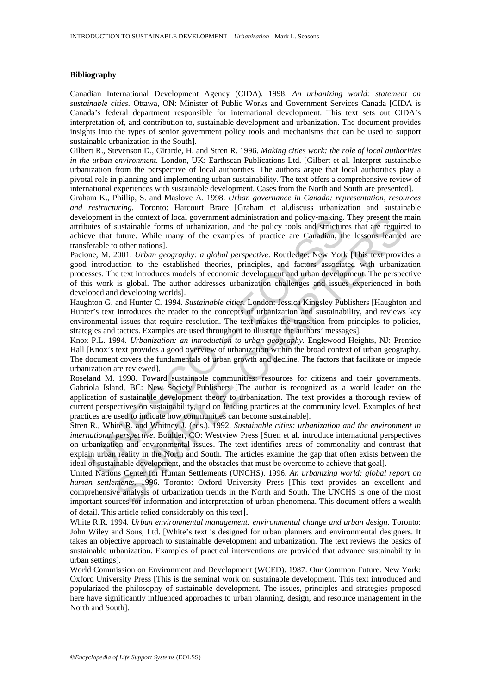#### **Bibliography**

Canadian International Development Agency (CIDA). 1998. *An urbanizing world: statement on sustainable cities.* Ottawa, ON: Minister of Public Works and Government Services Canada [CIDA is Canada's federal department responsible for international development. This text sets out CIDA's interpretation of, and contribution to, sustainable development and urbanization. The document provides insights into the types of senior government policy tools and mechanisms that can be used to support sustainable urbanization in the South].

Gilbert R., Stevenson D., Girarde, H. and Stren R. 1996. *Making cities work: the role of local authorities in the urban environment.* London, UK: Earthscan Publications Ltd. [Gilbert et al. Interpret sustainable urbanization from the perspective of local authorities. The authors argue that local authorities play a pivotal role in planning and implementing urban sustainability. The text offers a comprehensive review of international experiences with sustainable development. Cases from the North and South are presented].

Graham K., Phillip, S. and Maslove A. 1998. *Urban governance in Canada: representation, resources and restructuring.* Toronto: Harcourt Brace [Graham et al.discuss urbanization and sustainable development in the context of local government administration and policy-making. They present the main attributes of sustainable forms of urbanization, and the policy tools and structures that are required to achieve that future. While many of the examples of practice are Canadian, the lessons learned are transferable to other nations].

of<br>poment in the context of local government analisarisation and policy-making<br>touts of sustainable forms of urbanization, and the policy tools and structure<br>ve that future. While many of the examples of practice are Canad in the context of local government administration and policy-making. They present the content of such as sustainable forms of treatministration, and the policy tools and structures that are required future. While many of Pacione, M. 2001. *Urban geography: a global perspective*. Routledge: New York [This text provides a good introduction to the established theories, principles, and factors associated with urbanization processes. The text introduces models of economic development and urban development. The perspective of this work is global. The author addresses urbanization challenges and issues experienced in both developed and developing worlds].

Haughton G. and Hunter C. 1994. *Sustainable cities.* London: Jessica Kingsley Publishers [Haughton and Hunter's text introduces the reader to the concepts of urbanization and sustainability, and reviews key environmental issues that require resolution. The text makes the transition from principles to policies, strategies and tactics. Examples are used throughout to illustrate the authors' messages].

Knox P.L. 1994. *Urbanization: an introduction to urban geography.* Englewood Heights, NJ: Prentice Hall [Knox's text provides a good overview of urbanization within the broad context of urban geography. The document covers the fundamentals of urban growth and decline. The factors that facilitate or impede urbanization are reviewed].

Roseland M. 1998. Toward sustainable communities: resources for citizens and their governments. Gabriola Island, BC: New Society Publishers [The author is recognized as a world leader on the application of sustainable development theory to urbanization. The text provides a thorough review of current perspectives on sustainability, and on leading practices at the community level. Examples of best practices are used to indicate how communities can become sustainable].

Stren R., White R. and Whitney J. (eds.). 1992. *Sustainable cities: urbanization and the environment in international perspective.* Boulder, CO: Westview Press [Stren et al. introduce international perspectives on urbanization and environmental issues. The text identifies areas of commonality and contrast that explain urban reality in the North and South. The articles examine the gap that often exists between the ideal of sustainable development, and the obstacles that must be overcome to achieve that goal].

United Nations Center for Human Settlements (UNCHS). 1996. *An urbanizing world: global report on human settlements,* 1996. Toronto: Oxford University Press [This text provides an excellent and comprehensive analysis of urbanization trends in the North and South. The UNCHS is one of the most important sources for information and interpretation of urban phenomena. This document offers a wealth of detail. This article relied considerably on this text].

White R.R. 1994. *Urban environmental management: environmental change and urban design.* Toronto: John Wiley and Sons, Ltd. [White's text is designed for urban planners and environmental designers. It takes an objective approach to sustainable development and urbanization. The text reviews the basics of sustainable urbanization. Examples of practical interventions are provided that advance sustainability in urban settings].

World Commission on Environment and Development (WCED). 1987. Our Common Future. New York: Oxford University Press [This is the seminal work on sustainable development. This text introduced and popularized the philosophy of sustainable development. The issues, principles and strategies proposed here have significantly influenced approaches to urban planning, design, and resource management in the North and South].